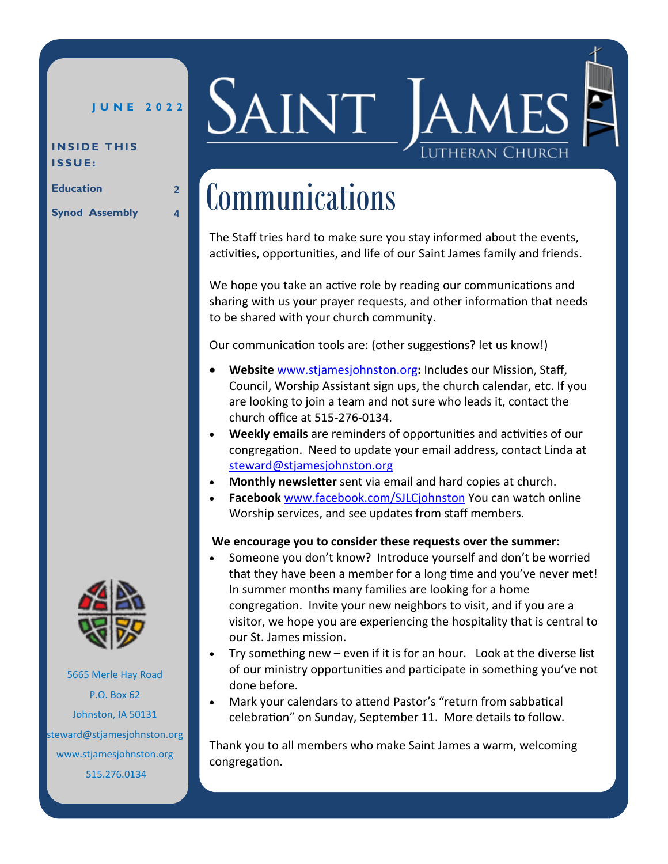## **J U N E 2 0 2 2**

#### **INSIDE THIS I S S U E :**

**Education 2**

**Synod Assembly 4**



# Communications

The Staff tries hard to make sure you stay informed about the events, activities, opportunities, and life of our Saint James family and friends.

We hope you take an active role by reading our communications and sharing with us your prayer requests, and other information that needs to be shared with your church community.

Our communication tools are: (other suggestions? let us know!)

- **Website** [www.stjamesjohnston.org](stjamesjohnston.org)**:** Includes our Mission, Staff, Council, Worship Assistant sign ups, the church calendar, etc. If you are looking to join a team and not sure who leads it, contact the church office at 515-276-0134.
- **Weekly emails** are reminders of opportunities and activities of our congregation. Need to update your email address, contact Linda at [steward@stjamesjohnston.org](mailto:steward@stjamesjohnston.org)
- **Monthly newsletter** sent via email and hard copies at church.
- **Facebook** [www.facebook.com/SJLCjohnston](http://www.facebook.com/SJLCjohnston) You can watch online Worship services, and see updates from staff members.

### **We encourage you to consider these requests over the summer:**

- Someone you don't know? Introduce yourself and don't be worried that they have been a member for a long time and you've never met! In summer months many families are looking for a home congregation. Invite your new neighbors to visit, and if you are a visitor, we hope you are experiencing the hospitality that is central to our St. James mission.
- Try something new even if it is for an hour. Look at the diverse list of our ministry opportunities and participate in something you've not done before.
- Mark your calendars to attend Pastor's "return from sabbatical celebration" on Sunday, September 11. More details to follow.

Thank you to all members who make Saint James a warm, welcoming congregation.



 $P.O.$  Box 62 Address Johnston, IA 50131 steward@stjamesjohnston.org 5665 Merle Hay Road www.stjamesjohnston.org 515.276.0134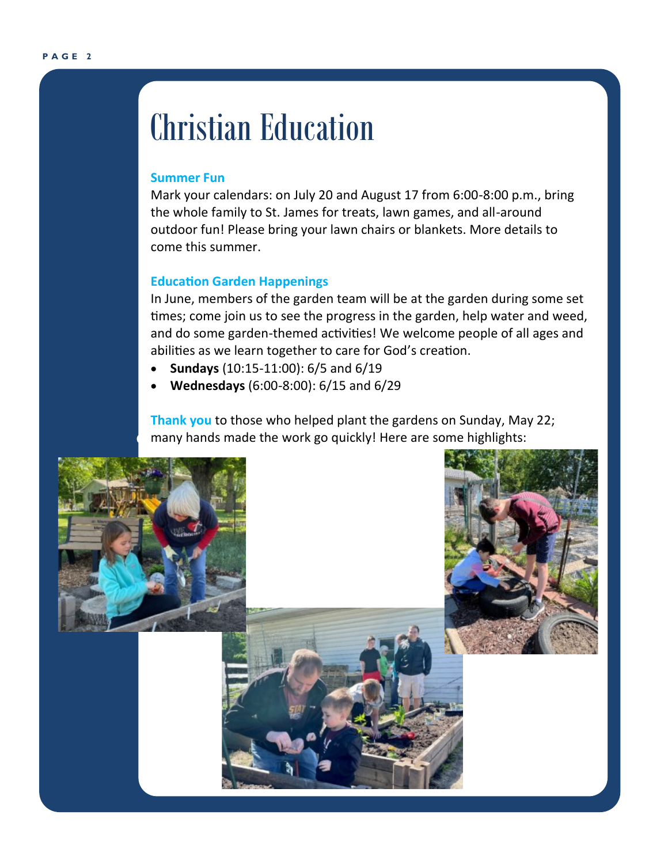# Christian Education

#### **Summer Fun**

Mark your calendars: on July 20 and August 17 from 6:00-8:00 p.m., bring the whole family to St. James for treats, lawn games, and all-around outdoor fun! Please bring your lawn chairs or blankets. More details to come this summer.

#### **Education Garden Happenings**

times; come join us to see the progress in the garden, help water and weed, **Andrew** and do some garden-themed activities! We welcome people of all ages and In June, members of the garden team will be at the garden during some set abilities as we learn together to care for God's creation.

- **Sundays** (10:15-11:00): 6/5 and 6/19
- **Wednesdays** (6:00-8:00): 6/15 and 6/29

**Comany hands made the work go quickly! Here are some highlights:**<br> **Brad Thank you** to those who helped plant the gardens on Sunday, May 22;

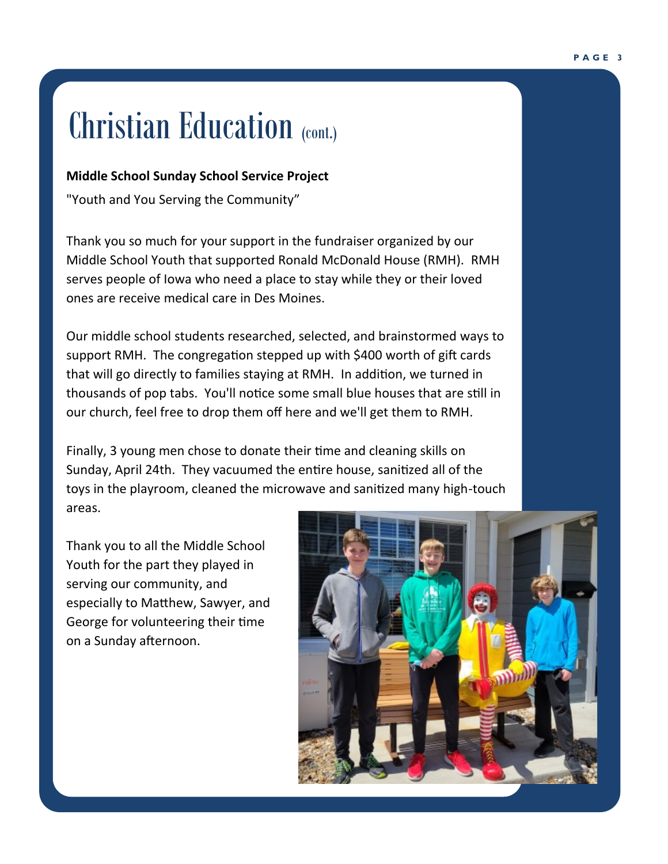# Christian Education (cont.)

## **Middle School Sunday School Service Project**

"Youth and You Serving the Community"

**LORICA**<br>
serves people of Iowa who need a place to stay while they or their loved Thank you so much for your support in the fundraiser organized by our Middle School Youth that supported Ronald McDonald House (RMH). RMH ones are receive medical care in Des Moines.

**Andrew** Our middle school students researched, selected, and brainstormed ways to support RMH. The congregation stepped up with \$400 worth of gift cards that will go directly to families staying at RMH. In addition, we turned in thousands of pop tabs. You'll notice some small blue houses that are still in our church, feel free to drop them off here and we'll get them to RMH.

Finally, 3 young men chose to donate their time and cleaning skills on Sunday, April 24th. They vacuumed the entire house, sanitized all of the toys in the playroom, cleaned the microwave and sanitized many high-touch areas.

Thank you to all the Middle School Youth for the part they played in serving our community, and especially to Matthew, Sawyer, and George for volunteering their time on a Sunday afternoon.